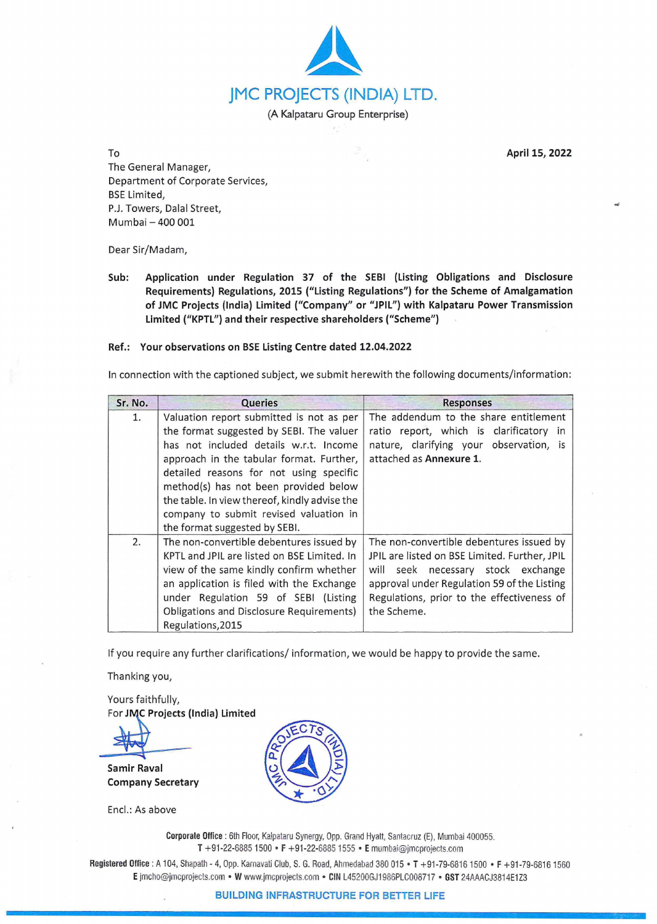

To **April 15, 2022** 

The General Manager, Department of Corporate Services, BSE Limited, P.J. Towers, Dalal Street, Mumbai - 400 001

Dear Sir/Madam,

**Sub: Application under Regulation 37 of the SEBI (Listing Obligations and Disclosure Requirements) Regulations, 2015 ("Listing Regulations") for the Scheme of Amalgamation of JMC Projects (India) Limited ("Company" or "JPIL") with Kalpataru Power Transmission Limited ("KPTL") and their respective shareholders ("Scheme")** 

## **Ref.: Your observations on BSE Listing Centre dated 12.04.2022**

In connection with the captioned subject, we submit herewith the following documents/information:

| Sr. No. | <b>Queries</b>                                                                                                                                                                                                                                                                                                                                                                             | <b>Responses</b>                                                                                                                                                                                                                            |
|---------|--------------------------------------------------------------------------------------------------------------------------------------------------------------------------------------------------------------------------------------------------------------------------------------------------------------------------------------------------------------------------------------------|---------------------------------------------------------------------------------------------------------------------------------------------------------------------------------------------------------------------------------------------|
| 1.      | Valuation report submitted is not as per<br>the format suggested by SEBI. The valuer<br>has not included details w.r.t. Income<br>approach in the tabular format. Further,<br>detailed reasons for not using specific<br>method(s) has not been provided below<br>the table. In view thereof, kindly advise the<br>company to submit revised valuation in<br>the format suggested by SEBI. | The addendum to the share entitlement<br>ratio report, which is clarificatory in<br>nature, clarifying your observation, is<br>attached as Annexure 1.                                                                                      |
| 2.      | The non-convertible debentures issued by<br>KPTL and JPIL are listed on BSE Limited. In<br>view of the same kindly confirm whether<br>an application is filed with the Exchange<br>under Regulation 59 of SEBI (Listing<br>Obligations and Disclosure Requirements)<br>Regulations, 2015                                                                                                   | The non-convertible debentures issued by<br>JPIL are listed on BSE Limited. Further, JPIL<br>will seek necessary stock exchange<br>approval under Regulation 59 of the Listing<br>Regulations, prior to the effectiveness of<br>the Scheme. |

If you require any further clarifications/ information, we would be happy to provide the same.

Thanking you,

Yours faithfully, **For JMC Projects (India) Limited** 

**Samir Raval Company Secretary** 

Encl.: As above



**Corporate Office** : 6th Floor, Kalpataru Synergy, Opp. Grand Hyatt, Santacruz (E), Mumbai 400055. **T** +91-22-6885 1500 • **F** +91-22-6885 1555 • **E** mumbai@jmcprojects.com

**Registered Office:** A 104, Shapath - 4, Opp. Karnavati Club, S. G. Road, Ahmedabad 380 01 5 • **T** +91-79-68161500 • **F** +91-79-68161 560 **E** jmcho@jmcprojects.com • **W** www.jmcprojects.com • **CIN** L45200GJ1 986PLC008717 • **GST** 24AAACJ3814E1 Z3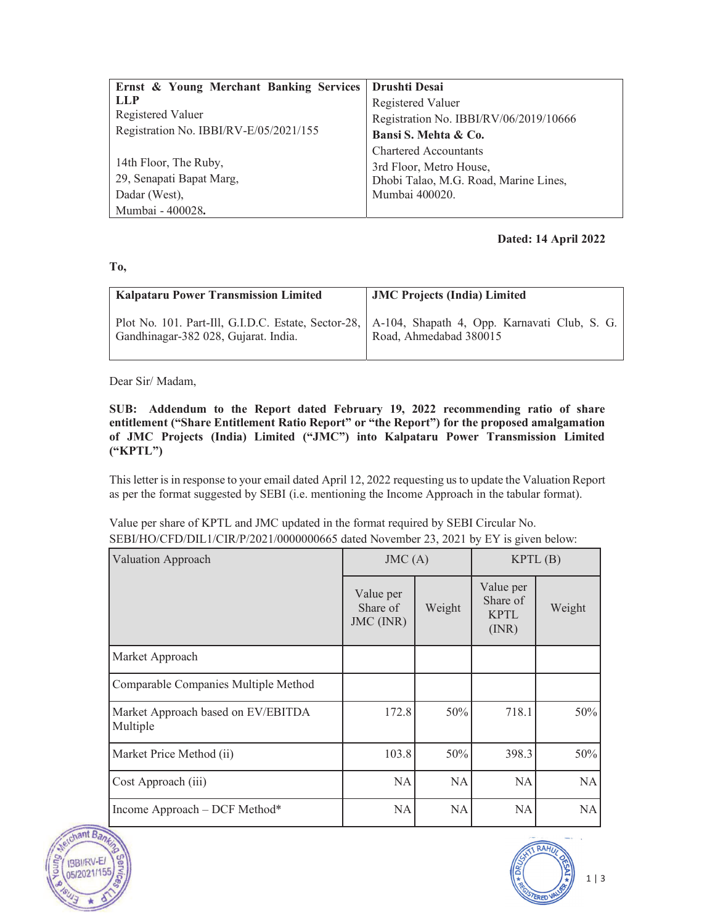| Ernst & Young Merchant Banking Services | Drushti Desai                          |  |  |
|-----------------------------------------|----------------------------------------|--|--|
| LLP                                     | Registered Valuer                      |  |  |
| Registered Valuer                       | Registration No. IBBI/RV/06/2019/10666 |  |  |
| Registration No. IBBI/RV-E/05/2021/155  | Bansi S. Mehta & Co.                   |  |  |
|                                         | <b>Chartered Accountants</b>           |  |  |
| 14th Floor, The Ruby,                   | 3rd Floor, Metro House,                |  |  |
| 29, Senapati Bapat Marg,                | Dhobi Talao, M.G. Road, Marine Lines,  |  |  |
| Dadar (West),                           | Mumbai 400020.                         |  |  |
| Mumbai - 400028.                        |                                        |  |  |

## **Dated: 14 April 2022**

## **To,**

| <b>Kalpataru Power Transmission Limited</b> | <b>JMC Projects (India) Limited</b>                                                                                         |
|---------------------------------------------|-----------------------------------------------------------------------------------------------------------------------------|
| Gandhinagar-382 028, Gujarat. India.        | Plot No. 101. Part-Ill, G.I.D.C. Estate, Sector-28, A. 104, Shapath 4, Opp. Karnavati Club, S. G.<br>Road, Ahmedabad 380015 |

Dear Sir/ Madam,

**SUB: Addendum to the Report dated February 19, 2022 recommending ratio of share entitlement ("Share Entitlement Ratio Report" or "the Report") for the proposed amalgamation of JMC Projects (India) Limited ("JMC") into Kalpataru Power Transmission Limited ("KPTL")**

This letter is in response to your email dated April 12, 2022 requesting us to update the Valuation Report as per the format suggested by SEBI (i.e. mentioning the Income Approach in the tabular format).

| SEBI/HO/CFD/DIL1/CIR/P/2021/000000665 dated November 23, 2021 by EY is given below: |           |  |                  |  |  |
|-------------------------------------------------------------------------------------|-----------|--|------------------|--|--|
| Valuation Approach                                                                  | JMC(A)    |  | KPTL(B)          |  |  |
|                                                                                     | Value per |  | Value per<br>--- |  |  |

Value per share of KPTL and JMC updated in the format required by SEBI Circular No.

|                                                | Value per<br>Share of<br>JMC (INR) | Weight    | Value per<br>Share of<br><b>KPTL</b><br>(INR) | Weight    |
|------------------------------------------------|------------------------------------|-----------|-----------------------------------------------|-----------|
| Market Approach                                |                                    |           |                                               |           |
| Comparable Companies Multiple Method           |                                    |           |                                               |           |
| Market Approach based on EV/EBITDA<br>Multiple | 172.8                              | 50%       | 718.1                                         | 50%       |
| Market Price Method (ii)                       | 103.8                              | 50%       | 398.3                                         | 50%       |
| Cost Approach (iii)                            | <b>NA</b>                          | NA        | <b>NA</b>                                     | <b>NA</b> |
| Income Approach - DCF Method*                  | <b>NA</b>                          | <b>NA</b> | <b>NA</b>                                     | <b>NA</b> |



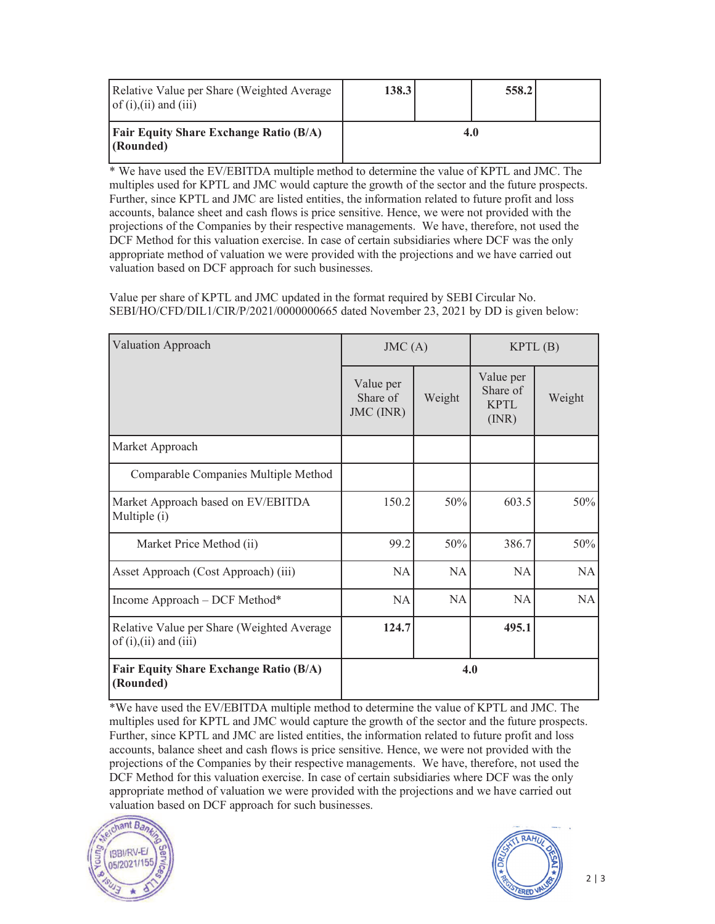| Relative Value per Share (Weighted Average<br>of $(i)$ , $(ii)$ and $(iii)$ | 138.3 | 558.2 |  |
|-----------------------------------------------------------------------------|-------|-------|--|
| <b>Fair Equity Share Exchange Ratio (B/A)</b><br>(Rounded)                  |       |       |  |

\* We have used the EV/EBITDA multiple method to determine the value of KPTL and JMC. The multiples used for KPTL and JMC would capture the growth of the sector and the future prospects. Further, since KPTL and JMC are listed entities, the information related to future profit and loss accounts, balance sheet and cash flows is price sensitive. Hence, we were not provided with the projections of the Companies by their respective managements. We have, therefore, not used the DCF Method for this valuation exercise. In case of certain subsidiaries where DCF was the only appropriate method of valuation we were provided with the projections and we have carried out valuation based on DCF approach for such businesses.

Value per share of KPTL and JMC updated in the format required by SEBI Circular No. SEBI/HO/CFD/DIL1/CIR/P/2021/0000000665 dated November 23, 2021 by DD is given below:

| <b>Valuation Approach</b>                                                   | JMC(A)                             |        | KPTL(B)                                      |        |
|-----------------------------------------------------------------------------|------------------------------------|--------|----------------------------------------------|--------|
|                                                                             | Value per<br>Share of<br>JMC (INR) | Weight | Value per<br>Share of<br><b>KPTL</b><br>(MR) | Weight |
| Market Approach                                                             |                                    |        |                                              |        |
| Comparable Companies Multiple Method                                        |                                    |        |                                              |        |
| Market Approach based on EV/EBITDA<br>Multiple (i)                          | 150.2                              | 50%    | 603.5                                        | 50%    |
| Market Price Method (ii)                                                    | 99.2                               | 50%    | 386.7                                        | 50%    |
| Asset Approach (Cost Approach) (iii)                                        | <b>NA</b>                          | NA     | <b>NA</b>                                    | NA     |
| Income Approach - DCF Method*                                               | <b>NA</b>                          | NA     | NA                                           | NA     |
| Relative Value per Share (Weighted Average<br>of $(i)$ , $(ii)$ and $(iii)$ | 124.7                              |        | 495.1                                        |        |
| <b>Fair Equity Share Exchange Ratio (B/A)</b><br>(Rounded)                  | 4.0                                |        |                                              |        |

\*We have used the EV/EBITDA multiple method to determine the value of KPTL and JMC. The multiples used for KPTL and JMC would capture the growth of the sector and the future prospects. Further, since KPTL and JMC are listed entities, the information related to future profit and loss accounts, balance sheet and cash flows is price sensitive. Hence, we were not provided with the projections of the Companies by their respective managements. We have, therefore, not used the DCF Method for this valuation exercise. In case of certain subsidiaries where DCF was the only appropriate method of valuation we were provided with the projections and we have carried out valuation based on DCF approach for such businesses.